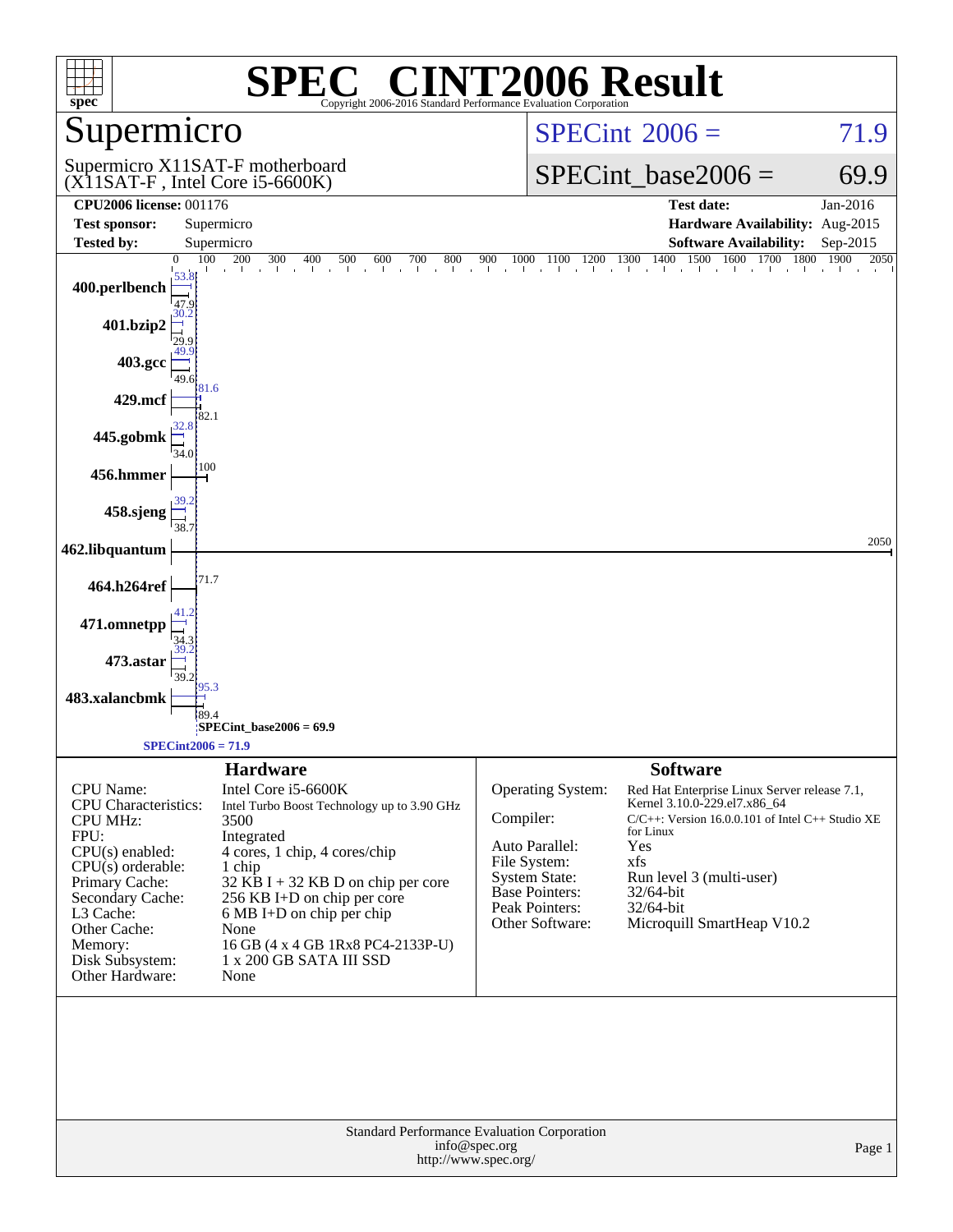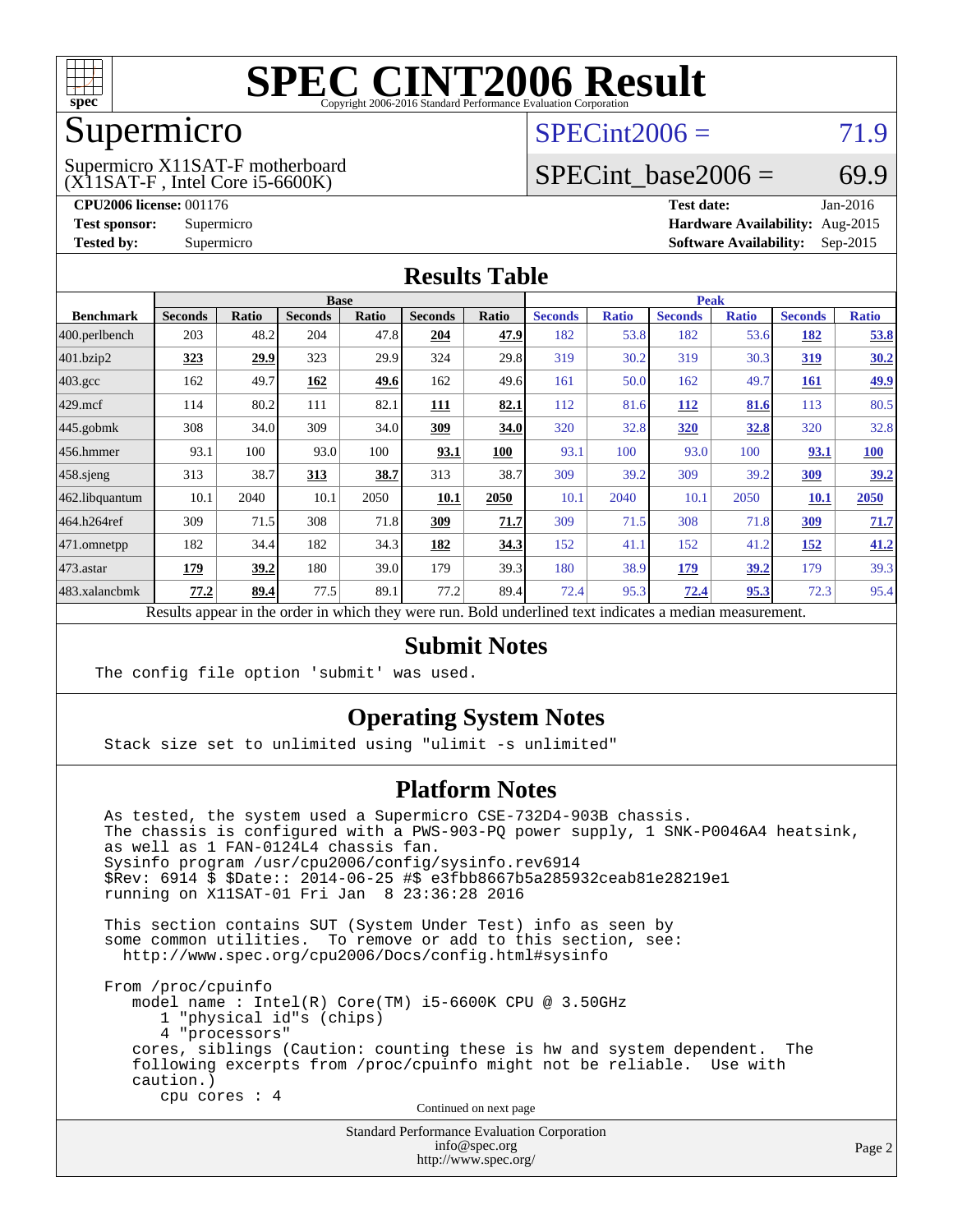

### Supermicro

(X11SAT-F , Intel Core i5-6600K) Supermicro X11SAT-F motherboard  $SPECint2006 = 71.9$  $SPECint2006 = 71.9$ 

#### SPECint base2006 =  $69.9$

**[CPU2006 license:](http://www.spec.org/auto/cpu2006/Docs/result-fields.html#CPU2006license)** 001176 **[Test date:](http://www.spec.org/auto/cpu2006/Docs/result-fields.html#Testdate)** Jan-2016 **[Test sponsor:](http://www.spec.org/auto/cpu2006/Docs/result-fields.html#Testsponsor)** Supermicro **[Hardware Availability:](http://www.spec.org/auto/cpu2006/Docs/result-fields.html#HardwareAvailability)** Aug-2015 **[Tested by:](http://www.spec.org/auto/cpu2006/Docs/result-fields.html#Testedby)** Supermicro **Supermicro [Software Availability:](http://www.spec.org/auto/cpu2006/Docs/result-fields.html#SoftwareAvailability)** Sep-2015

#### **[Results Table](http://www.spec.org/auto/cpu2006/Docs/result-fields.html#ResultsTable)**

|                    | <b>Base</b>    |             |                |              |                |              | <b>Peak</b>    |              |                |              |                |              |
|--------------------|----------------|-------------|----------------|--------------|----------------|--------------|----------------|--------------|----------------|--------------|----------------|--------------|
| <b>Benchmark</b>   | <b>Seconds</b> | Ratio       | <b>Seconds</b> | <b>Ratio</b> | <b>Seconds</b> | <b>Ratio</b> | <b>Seconds</b> | <b>Ratio</b> | <b>Seconds</b> | <b>Ratio</b> | <b>Seconds</b> | <b>Ratio</b> |
| 400.perlbench      | 203            | 48.2        | 204            | 47.8         | 204            | 47.9         | 182            | 53.8         | 182            | 53.6         | <u>182</u>     | 53.8         |
| 401.bzip2          | 323            | 29.9        | 323            | 29.9         | 324            | 29.8         | 319            | 30.2         | 319            | 30.3         | <u>319</u>     | 30.2         |
| $403.\mathrm{gcc}$ | 162            | 49.7        | 162            | <u>49.6</u>  | 162            | 49.6         | 161            | 50.0         | 162            | 49.7         | <u>161</u>     | <u>49.9</u>  |
| $429$ .mcf         | 114            | 80.2        | 111            | 82.1         | <b>111</b>     | 82.1         | 112            | 81.6         | <b>112</b>     | 81.6         | 113            | 80.5         |
| $445$ .gobmk       | 308            | 34.0        | 309            | 34.0         | 309            | 34.0         | 320            | 32.8         | <b>320</b>     | <u>32.8</u>  | 320            | 32.8         |
| $456.$ hmmer       | 93.1           | 100         | 93.0           | 100          | 93.1           | 100          | 93.1           | 100          | 93.0           | 100          | 93.1           | <b>100</b>   |
| $458$ .sjeng       | 313            | 38.7        | 313            | 38.7         | 313            | 38.7         | 309            | 39.2         | 309            | 39.2         | <u>309</u>     | 39.2         |
| 462.libquantum     | 10.1           | 2040        | 10.1           | 2050         | 10.1           | 2050         | 10.1           | 2040         | 10.1           | 2050         | 10.1           | 2050         |
| 464.h264ref        | 309            | 71.5        | 308            | 71.8         | 309            | 71.7         | 309            | 71.5         | 308            | 71.8         | <u>309</u>     | 71.7         |
| 471.omnetpp        | 182            | 34.4        | 182            | 34.3         | 182            | 34.3         | 152            | 41.1         | 152            | 41.2         | <u>152</u>     | 41.2         |
| $473$ . astar      | <u>179</u>     | <u>39.2</u> | 180            | 39.0         | 179            | 39.3         | 180            | 38.9         | <u>179</u>     | <u>39.2</u>  | 179            | 39.3         |
| 483.xalancbmk      | 77.2           | 89.4        | 77.5           | 89.1         | 77.2           | 89.4         | 72.4           | 95.3         | 72.4           | 95.3         | 72.3           | 95.4         |

Results appear in the [order in which they were run.](http://www.spec.org/auto/cpu2006/Docs/result-fields.html#RunOrder) Bold underlined text [indicates a median measurement.](http://www.spec.org/auto/cpu2006/Docs/result-fields.html#Median)

#### **[Submit Notes](http://www.spec.org/auto/cpu2006/Docs/result-fields.html#SubmitNotes)**

The config file option 'submit' was used.

#### **[Operating System Notes](http://www.spec.org/auto/cpu2006/Docs/result-fields.html#OperatingSystemNotes)**

Stack size set to unlimited using "ulimit -s unlimited"

#### **[Platform Notes](http://www.spec.org/auto/cpu2006/Docs/result-fields.html#PlatformNotes)**

 As tested, the system used a Supermicro CSE-732D4-903B chassis. The chassis is configured with a PWS-903-PQ power supply, 1 SNK-P0046A4 heatsink, as well as 1 FAN-0124L4 chassis fan. Sysinfo program /usr/cpu2006/config/sysinfo.rev6914 \$Rev: 6914 \$ \$Date:: 2014-06-25 #\$ e3fbb8667b5a285932ceab81e28219e1 running on X11SAT-01 Fri Jan 8 23:36:28 2016

 This section contains SUT (System Under Test) info as seen by some common utilities. To remove or add to this section, see: <http://www.spec.org/cpu2006/Docs/config.html#sysinfo>

 From /proc/cpuinfo model name : Intel(R) Core(TM) i5-6600K CPU @ 3.50GHz 1 "physical id"s (chips) 4 "processors" cores, siblings (Caution: counting these is hw and system dependent. The following excerpts from /proc/cpuinfo might not be reliable. Use with caution.) cpu cores : 4

Continued on next page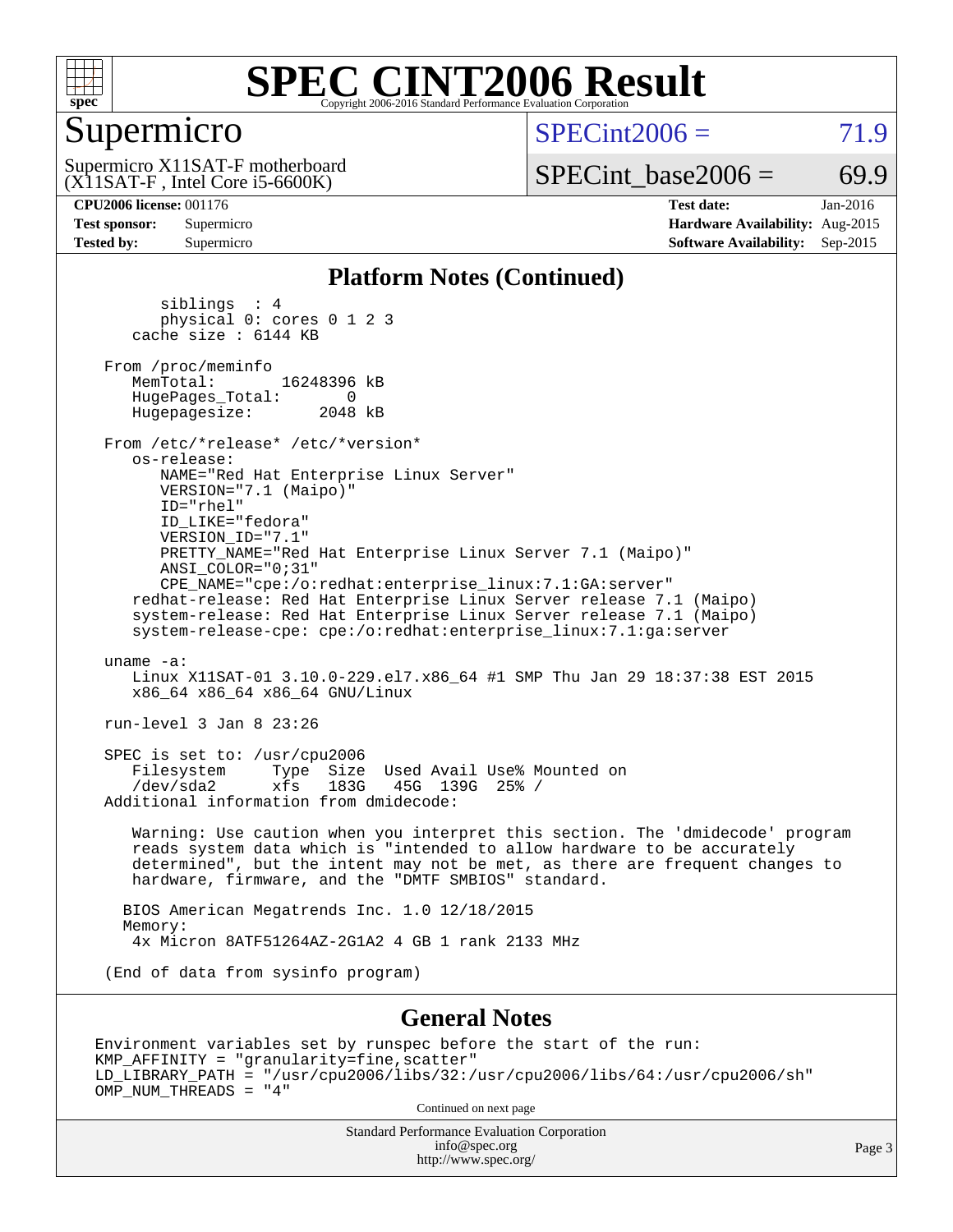

### Supermicro

 $SPECint2006 = 71.9$  $SPECint2006 = 71.9$ 

(X11SAT-F , Intel Core i5-6600K) Supermicro X11SAT-F motherboard  $SPECTnt\_base2006 = 69.9$ 

**[CPU2006 license:](http://www.spec.org/auto/cpu2006/Docs/result-fields.html#CPU2006license)** 001176 **[Test date:](http://www.spec.org/auto/cpu2006/Docs/result-fields.html#Testdate)** Jan-2016 **[Test sponsor:](http://www.spec.org/auto/cpu2006/Docs/result-fields.html#Testsponsor)** Supermicro **[Hardware Availability:](http://www.spec.org/auto/cpu2006/Docs/result-fields.html#HardwareAvailability)** Aug-2015 **[Tested by:](http://www.spec.org/auto/cpu2006/Docs/result-fields.html#Testedby)** Supermicro **[Software Availability:](http://www.spec.org/auto/cpu2006/Docs/result-fields.html#SoftwareAvailability)** Sep-2015

#### **[Platform Notes \(Continued\)](http://www.spec.org/auto/cpu2006/Docs/result-fields.html#PlatformNotes)**

 siblings : 4 physical 0: cores 0 1 2 3 cache size : 6144 KB From /proc/meminfo<br>MemTotal: 16248396 kB HugePages\_Total: 0<br>Hugepagesize: 2048 kB Hugepagesize: From /etc/\*release\* /etc/\*version\* os-release: NAME="Red Hat Enterprise Linux Server" VERSION="7.1 (Maipo)" ID="rhel" ID\_LIKE="fedora" VERSION\_ID="7.1" PRETTY\_NAME="Red Hat Enterprise Linux Server 7.1 (Maipo)" ANSI\_COLOR="0;31" CPE\_NAME="cpe:/o:redhat:enterprise\_linux:7.1:GA:server" redhat-release: Red Hat Enterprise Linux Server release 7.1 (Maipo) system-release: Red Hat Enterprise Linux Server release 7.1 (Maipo) system-release-cpe: cpe:/o:redhat:enterprise\_linux:7.1:ga:server uname -a: Linux X11SAT-01 3.10.0-229.el7.x86\_64 #1 SMP Thu Jan 29 18:37:38 EST 2015 x86\_64 x86\_64 x86\_64 GNU/Linux run-level 3 Jan 8 23:26 SPEC is set to: /usr/cpu2006 Filesystem Type Size Used Avail Use% Mounted on<br>
/dev/sda2 xfs 183G 45G 139G 25% /  $xfs$  183G 45G 139G 25% / Additional information from dmidecode: Warning: Use caution when you interpret this section. The 'dmidecode' program reads system data which is "intended to allow hardware to be accurately determined", but the intent may not be met, as there are frequent changes to hardware, firmware, and the "DMTF SMBIOS" standard. BIOS American Megatrends Inc. 1.0 12/18/2015 Memory: 4x Micron 8ATF51264AZ-2G1A2 4 GB 1 rank 2133 MHz (End of data from sysinfo program)

#### **[General Notes](http://www.spec.org/auto/cpu2006/Docs/result-fields.html#GeneralNotes)**

Environment variables set by runspec before the start of the run: KMP\_AFFINITY = "granularity=fine,scatter" LD\_LIBRARY\_PATH = "/usr/cpu2006/libs/32:/usr/cpu2006/libs/64:/usr/cpu2006/sh" OMP\_NUM\_THREADS = "4"

Continued on next page

Standard Performance Evaluation Corporation [info@spec.org](mailto:info@spec.org) <http://www.spec.org/>

Page 3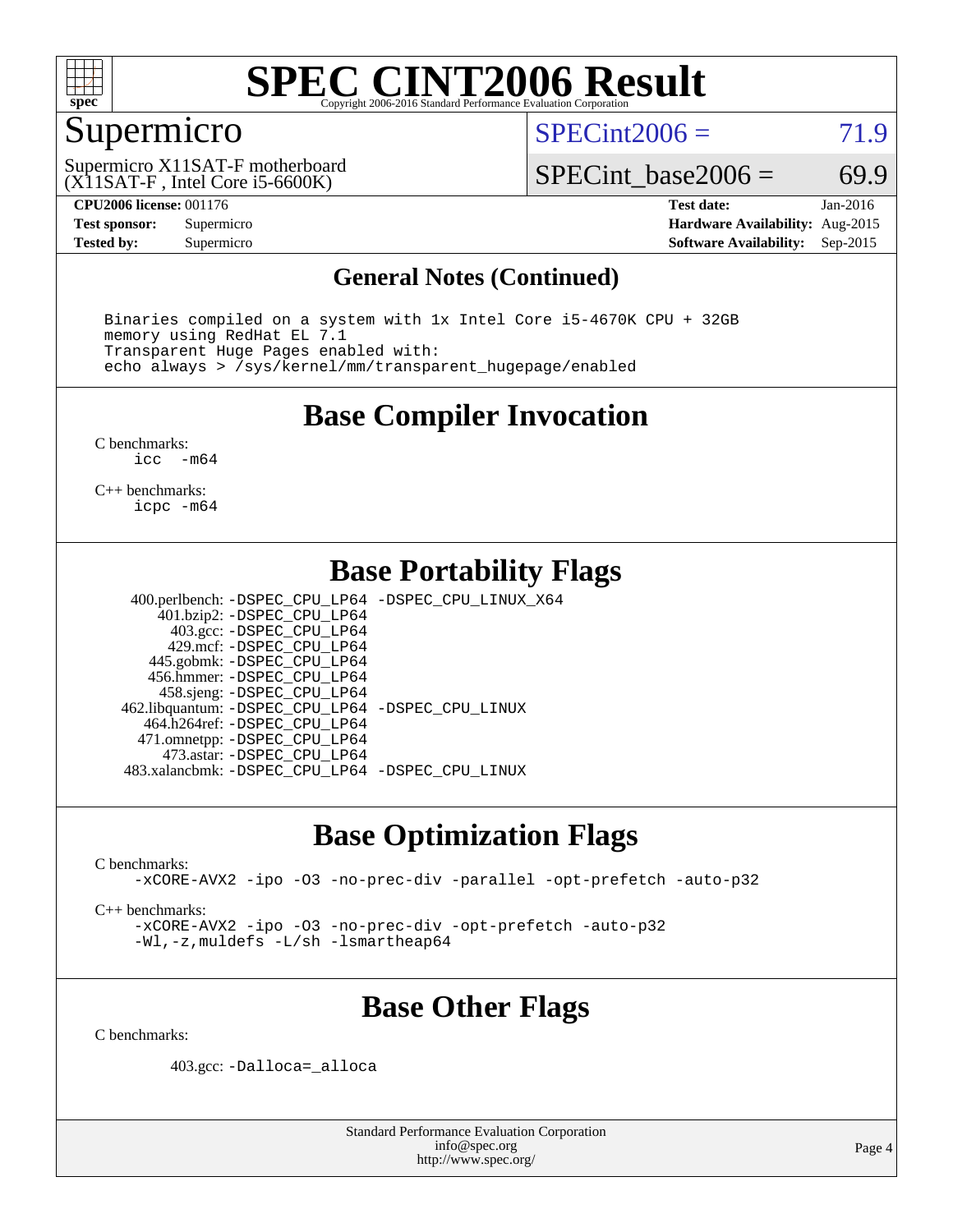

## Supermicro

 $SPECint2006 = 71.9$  $SPECint2006 = 71.9$ 

(X11SAT-F , Intel Core i5-6600K) Supermicro X11SAT-F motherboard SPECint base2006 =  $69.9$ 

**[CPU2006 license:](http://www.spec.org/auto/cpu2006/Docs/result-fields.html#CPU2006license)** 001176 **[Test date:](http://www.spec.org/auto/cpu2006/Docs/result-fields.html#Testdate)** Jan-2016 **[Test sponsor:](http://www.spec.org/auto/cpu2006/Docs/result-fields.html#Testsponsor)** Supermicro **[Hardware Availability:](http://www.spec.org/auto/cpu2006/Docs/result-fields.html#HardwareAvailability)** Aug-2015 **[Tested by:](http://www.spec.org/auto/cpu2006/Docs/result-fields.html#Testedby)** Supermicro **Supermicro [Software Availability:](http://www.spec.org/auto/cpu2006/Docs/result-fields.html#SoftwareAvailability)** Sep-2015

#### **[General Notes \(Continued\)](http://www.spec.org/auto/cpu2006/Docs/result-fields.html#GeneralNotes)**

 Binaries compiled on a system with 1x Intel Core i5-4670K CPU + 32GB memory using RedHat EL 7.1 Transparent Huge Pages enabled with: echo always > /sys/kernel/mm/transparent\_hugepage/enabled

#### **[Base Compiler Invocation](http://www.spec.org/auto/cpu2006/Docs/result-fields.html#BaseCompilerInvocation)**

[C benchmarks](http://www.spec.org/auto/cpu2006/Docs/result-fields.html#Cbenchmarks):<br> $\frac{1}{2}$ cc  $-m64$ 

[C++ benchmarks:](http://www.spec.org/auto/cpu2006/Docs/result-fields.html#CXXbenchmarks) [icpc -m64](http://www.spec.org/cpu2006/results/res2016q1/cpu2006-20160111-38644.flags.html#user_CXXbase_intel_icpc_64bit_fc66a5337ce925472a5c54ad6a0de310)

#### **[Base Portability Flags](http://www.spec.org/auto/cpu2006/Docs/result-fields.html#BasePortabilityFlags)**

 400.perlbench: [-DSPEC\\_CPU\\_LP64](http://www.spec.org/cpu2006/results/res2016q1/cpu2006-20160111-38644.flags.html#b400.perlbench_basePORTABILITY_DSPEC_CPU_LP64) [-DSPEC\\_CPU\\_LINUX\\_X64](http://www.spec.org/cpu2006/results/res2016q1/cpu2006-20160111-38644.flags.html#b400.perlbench_baseCPORTABILITY_DSPEC_CPU_LINUX_X64) 401.bzip2: [-DSPEC\\_CPU\\_LP64](http://www.spec.org/cpu2006/results/res2016q1/cpu2006-20160111-38644.flags.html#suite_basePORTABILITY401_bzip2_DSPEC_CPU_LP64) 403.gcc: [-DSPEC\\_CPU\\_LP64](http://www.spec.org/cpu2006/results/res2016q1/cpu2006-20160111-38644.flags.html#suite_basePORTABILITY403_gcc_DSPEC_CPU_LP64) 429.mcf: [-DSPEC\\_CPU\\_LP64](http://www.spec.org/cpu2006/results/res2016q1/cpu2006-20160111-38644.flags.html#suite_basePORTABILITY429_mcf_DSPEC_CPU_LP64) 445.gobmk: [-DSPEC\\_CPU\\_LP64](http://www.spec.org/cpu2006/results/res2016q1/cpu2006-20160111-38644.flags.html#suite_basePORTABILITY445_gobmk_DSPEC_CPU_LP64) 456.hmmer: [-DSPEC\\_CPU\\_LP64](http://www.spec.org/cpu2006/results/res2016q1/cpu2006-20160111-38644.flags.html#suite_basePORTABILITY456_hmmer_DSPEC_CPU_LP64) 458.sjeng: [-DSPEC\\_CPU\\_LP64](http://www.spec.org/cpu2006/results/res2016q1/cpu2006-20160111-38644.flags.html#suite_basePORTABILITY458_sjeng_DSPEC_CPU_LP64) 462.libquantum: [-DSPEC\\_CPU\\_LP64](http://www.spec.org/cpu2006/results/res2016q1/cpu2006-20160111-38644.flags.html#suite_basePORTABILITY462_libquantum_DSPEC_CPU_LP64) [-DSPEC\\_CPU\\_LINUX](http://www.spec.org/cpu2006/results/res2016q1/cpu2006-20160111-38644.flags.html#b462.libquantum_baseCPORTABILITY_DSPEC_CPU_LINUX) 464.h264ref: [-DSPEC\\_CPU\\_LP64](http://www.spec.org/cpu2006/results/res2016q1/cpu2006-20160111-38644.flags.html#suite_basePORTABILITY464_h264ref_DSPEC_CPU_LP64) 471.omnetpp: [-DSPEC\\_CPU\\_LP64](http://www.spec.org/cpu2006/results/res2016q1/cpu2006-20160111-38644.flags.html#suite_basePORTABILITY471_omnetpp_DSPEC_CPU_LP64) 473.astar: [-DSPEC\\_CPU\\_LP64](http://www.spec.org/cpu2006/results/res2016q1/cpu2006-20160111-38644.flags.html#suite_basePORTABILITY473_astar_DSPEC_CPU_LP64) 483.xalancbmk: [-DSPEC\\_CPU\\_LP64](http://www.spec.org/cpu2006/results/res2016q1/cpu2006-20160111-38644.flags.html#suite_basePORTABILITY483_xalancbmk_DSPEC_CPU_LP64) [-DSPEC\\_CPU\\_LINUX](http://www.spec.org/cpu2006/results/res2016q1/cpu2006-20160111-38644.flags.html#b483.xalancbmk_baseCXXPORTABILITY_DSPEC_CPU_LINUX)

### **[Base Optimization Flags](http://www.spec.org/auto/cpu2006/Docs/result-fields.html#BaseOptimizationFlags)**

[C benchmarks](http://www.spec.org/auto/cpu2006/Docs/result-fields.html#Cbenchmarks):

[-xCORE-AVX2](http://www.spec.org/cpu2006/results/res2016q1/cpu2006-20160111-38644.flags.html#user_CCbase_f-xAVX2_5f5fc0cbe2c9f62c816d3e45806c70d7) [-ipo](http://www.spec.org/cpu2006/results/res2016q1/cpu2006-20160111-38644.flags.html#user_CCbase_f-ipo) [-O3](http://www.spec.org/cpu2006/results/res2016q1/cpu2006-20160111-38644.flags.html#user_CCbase_f-O3) [-no-prec-div](http://www.spec.org/cpu2006/results/res2016q1/cpu2006-20160111-38644.flags.html#user_CCbase_f-no-prec-div) [-parallel](http://www.spec.org/cpu2006/results/res2016q1/cpu2006-20160111-38644.flags.html#user_CCbase_f-parallel) [-opt-prefetch](http://www.spec.org/cpu2006/results/res2016q1/cpu2006-20160111-38644.flags.html#user_CCbase_f-opt-prefetch) [-auto-p32](http://www.spec.org/cpu2006/results/res2016q1/cpu2006-20160111-38644.flags.html#user_CCbase_f-auto-p32)

[C++ benchmarks:](http://www.spec.org/auto/cpu2006/Docs/result-fields.html#CXXbenchmarks)

[-xCORE-AVX2](http://www.spec.org/cpu2006/results/res2016q1/cpu2006-20160111-38644.flags.html#user_CXXbase_f-xAVX2_5f5fc0cbe2c9f62c816d3e45806c70d7) [-ipo](http://www.spec.org/cpu2006/results/res2016q1/cpu2006-20160111-38644.flags.html#user_CXXbase_f-ipo) [-O3](http://www.spec.org/cpu2006/results/res2016q1/cpu2006-20160111-38644.flags.html#user_CXXbase_f-O3) [-no-prec-div](http://www.spec.org/cpu2006/results/res2016q1/cpu2006-20160111-38644.flags.html#user_CXXbase_f-no-prec-div) [-opt-prefetch](http://www.spec.org/cpu2006/results/res2016q1/cpu2006-20160111-38644.flags.html#user_CXXbase_f-opt-prefetch) [-auto-p32](http://www.spec.org/cpu2006/results/res2016q1/cpu2006-20160111-38644.flags.html#user_CXXbase_f-auto-p32) [-Wl,-z,muldefs](http://www.spec.org/cpu2006/results/res2016q1/cpu2006-20160111-38644.flags.html#user_CXXbase_link_force_multiple1_74079c344b956b9658436fd1b6dd3a8a) [-L/sh -lsmartheap64](http://www.spec.org/cpu2006/results/res2016q1/cpu2006-20160111-38644.flags.html#user_CXXbase_SmartHeap64_ed4ef857ce90951921efb0d91eb88472)

### **[Base Other Flags](http://www.spec.org/auto/cpu2006/Docs/result-fields.html#BaseOtherFlags)**

[C benchmarks](http://www.spec.org/auto/cpu2006/Docs/result-fields.html#Cbenchmarks):

403.gcc: [-Dalloca=\\_alloca](http://www.spec.org/cpu2006/results/res2016q1/cpu2006-20160111-38644.flags.html#b403.gcc_baseEXTRA_CFLAGS_Dalloca_be3056838c12de2578596ca5467af7f3)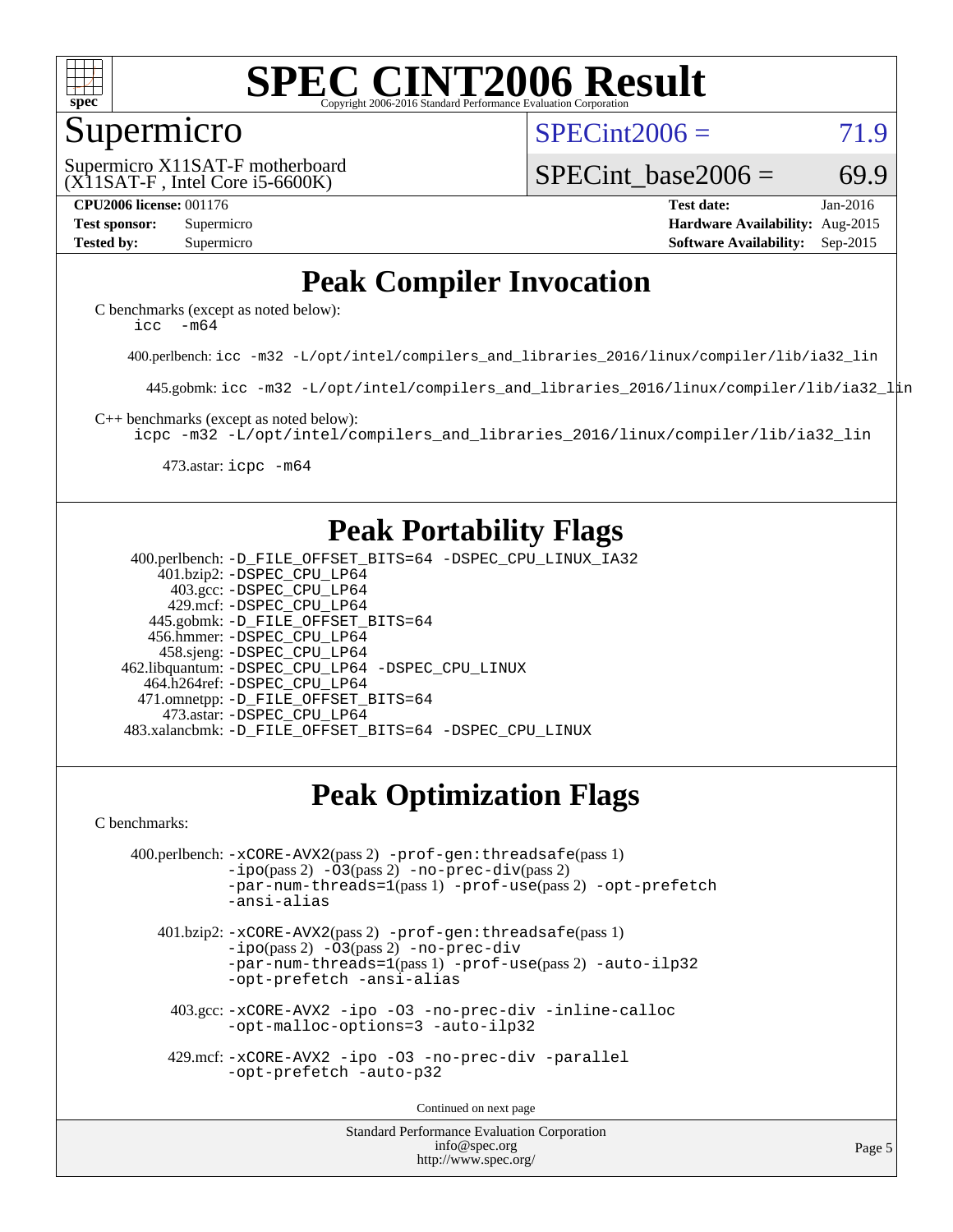

#### Supermicro

 $SPECint2006 = 71.9$  $SPECint2006 = 71.9$ 

(X11SAT-F , Intel Core i5-6600K) Supermicro X11SAT-F motherboard SPECint base2006 =  $69.9$ 

**[CPU2006 license:](http://www.spec.org/auto/cpu2006/Docs/result-fields.html#CPU2006license)** 001176 **[Test date:](http://www.spec.org/auto/cpu2006/Docs/result-fields.html#Testdate)** Jan-2016 **[Test sponsor:](http://www.spec.org/auto/cpu2006/Docs/result-fields.html#Testsponsor)** Supermicro **[Hardware Availability:](http://www.spec.org/auto/cpu2006/Docs/result-fields.html#HardwareAvailability)** Aug-2015 **[Tested by:](http://www.spec.org/auto/cpu2006/Docs/result-fields.html#Testedby)** Supermicro **Supermicro [Software Availability:](http://www.spec.org/auto/cpu2006/Docs/result-fields.html#SoftwareAvailability)** Sep-2015

## **[Peak Compiler Invocation](http://www.spec.org/auto/cpu2006/Docs/result-fields.html#PeakCompilerInvocation)**

[C benchmarks \(except as noted below\)](http://www.spec.org/auto/cpu2006/Docs/result-fields.html#Cbenchmarksexceptasnotedbelow): icc  $-m64$ 

400.perlbench: [icc -m32 -L/opt/intel/compilers\\_and\\_libraries\\_2016/linux/compiler/lib/ia32\\_lin](http://www.spec.org/cpu2006/results/res2016q1/cpu2006-20160111-38644.flags.html#user_peakCCLD400_perlbench_intel_icc_e10256ba5924b668798078a321b0cb3f)

445.gobmk: [icc -m32 -L/opt/intel/compilers\\_and\\_libraries\\_2016/linux/compiler/lib/ia32\\_lin](http://www.spec.org/cpu2006/results/res2016q1/cpu2006-20160111-38644.flags.html#user_peakCCLD445_gobmk_intel_icc_e10256ba5924b668798078a321b0cb3f)

[C++ benchmarks \(except as noted below\):](http://www.spec.org/auto/cpu2006/Docs/result-fields.html#CXXbenchmarksexceptasnotedbelow)

[icpc -m32 -L/opt/intel/compilers\\_and\\_libraries\\_2016/linux/compiler/lib/ia32\\_lin](http://www.spec.org/cpu2006/results/res2016q1/cpu2006-20160111-38644.flags.html#user_CXXpeak_intel_icpc_b4f50a394bdb4597aa5879c16bc3f5c5)

473.astar: [icpc -m64](http://www.spec.org/cpu2006/results/res2016q1/cpu2006-20160111-38644.flags.html#user_peakCXXLD473_astar_intel_icpc_64bit_fc66a5337ce925472a5c54ad6a0de310)

### **[Peak Portability Flags](http://www.spec.org/auto/cpu2006/Docs/result-fields.html#PeakPortabilityFlags)**

 400.perlbench: [-D\\_FILE\\_OFFSET\\_BITS=64](http://www.spec.org/cpu2006/results/res2016q1/cpu2006-20160111-38644.flags.html#user_peakPORTABILITY400_perlbench_file_offset_bits_64_438cf9856305ebd76870a2c6dc2689ab) [-DSPEC\\_CPU\\_LINUX\\_IA32](http://www.spec.org/cpu2006/results/res2016q1/cpu2006-20160111-38644.flags.html#b400.perlbench_peakCPORTABILITY_DSPEC_CPU_LINUX_IA32) 401.bzip2: [-DSPEC\\_CPU\\_LP64](http://www.spec.org/cpu2006/results/res2016q1/cpu2006-20160111-38644.flags.html#suite_peakPORTABILITY401_bzip2_DSPEC_CPU_LP64) 403.gcc: [-DSPEC\\_CPU\\_LP64](http://www.spec.org/cpu2006/results/res2016q1/cpu2006-20160111-38644.flags.html#suite_peakPORTABILITY403_gcc_DSPEC_CPU_LP64) 429.mcf: [-DSPEC\\_CPU\\_LP64](http://www.spec.org/cpu2006/results/res2016q1/cpu2006-20160111-38644.flags.html#suite_peakPORTABILITY429_mcf_DSPEC_CPU_LP64) 445.gobmk: [-D\\_FILE\\_OFFSET\\_BITS=64](http://www.spec.org/cpu2006/results/res2016q1/cpu2006-20160111-38644.flags.html#user_peakPORTABILITY445_gobmk_file_offset_bits_64_438cf9856305ebd76870a2c6dc2689ab) 456.hmmer: [-DSPEC\\_CPU\\_LP64](http://www.spec.org/cpu2006/results/res2016q1/cpu2006-20160111-38644.flags.html#suite_peakPORTABILITY456_hmmer_DSPEC_CPU_LP64) 458.sjeng: [-DSPEC\\_CPU\\_LP64](http://www.spec.org/cpu2006/results/res2016q1/cpu2006-20160111-38644.flags.html#suite_peakPORTABILITY458_sjeng_DSPEC_CPU_LP64) 462.libquantum: [-DSPEC\\_CPU\\_LP64](http://www.spec.org/cpu2006/results/res2016q1/cpu2006-20160111-38644.flags.html#suite_peakPORTABILITY462_libquantum_DSPEC_CPU_LP64) [-DSPEC\\_CPU\\_LINUX](http://www.spec.org/cpu2006/results/res2016q1/cpu2006-20160111-38644.flags.html#b462.libquantum_peakCPORTABILITY_DSPEC_CPU_LINUX) 464.h264ref: [-DSPEC\\_CPU\\_LP64](http://www.spec.org/cpu2006/results/res2016q1/cpu2006-20160111-38644.flags.html#suite_peakPORTABILITY464_h264ref_DSPEC_CPU_LP64) 471.omnetpp: [-D\\_FILE\\_OFFSET\\_BITS=64](http://www.spec.org/cpu2006/results/res2016q1/cpu2006-20160111-38644.flags.html#user_peakPORTABILITY471_omnetpp_file_offset_bits_64_438cf9856305ebd76870a2c6dc2689ab) 473.astar: [-DSPEC\\_CPU\\_LP64](http://www.spec.org/cpu2006/results/res2016q1/cpu2006-20160111-38644.flags.html#suite_peakPORTABILITY473_astar_DSPEC_CPU_LP64) 483.xalancbmk: [-D\\_FILE\\_OFFSET\\_BITS=64](http://www.spec.org/cpu2006/results/res2016q1/cpu2006-20160111-38644.flags.html#user_peakPORTABILITY483_xalancbmk_file_offset_bits_64_438cf9856305ebd76870a2c6dc2689ab) [-DSPEC\\_CPU\\_LINUX](http://www.spec.org/cpu2006/results/res2016q1/cpu2006-20160111-38644.flags.html#b483.xalancbmk_peakCXXPORTABILITY_DSPEC_CPU_LINUX)

## **[Peak Optimization Flags](http://www.spec.org/auto/cpu2006/Docs/result-fields.html#PeakOptimizationFlags)**

[C benchmarks](http://www.spec.org/auto/cpu2006/Docs/result-fields.html#Cbenchmarks):

```
 400.perlbench: -xCORE-AVX2(pass 2) -prof-gen:threadsafe(pass 1)
             -i\text{po}(pass 2) -\overline{0}3(pass 2)-no-prec-div(pass 2)
             -par-num-threads=1(pass 1) -prof-use(pass 2) -opt-prefetch
             -ansi-alias
```
 401.bzip2: [-xCORE-AVX2](http://www.spec.org/cpu2006/results/res2016q1/cpu2006-20160111-38644.flags.html#user_peakPASS2_CFLAGSPASS2_LDCFLAGS401_bzip2_f-xAVX2_5f5fc0cbe2c9f62c816d3e45806c70d7)(pass 2) [-prof-gen:threadsafe](http://www.spec.org/cpu2006/results/res2016q1/cpu2006-20160111-38644.flags.html#user_peakPASS1_CFLAGSPASS1_LDCFLAGS401_bzip2_prof_gen_21a26eb79f378b550acd7bec9fe4467a)(pass 1)  $-i\text{po}(pass 2) -03(pass 2) -no-prec-div$  $-i\text{po}(pass 2) -03(pass 2) -no-prec-div$ [-par-num-threads=1](http://www.spec.org/cpu2006/results/res2016q1/cpu2006-20160111-38644.flags.html#user_peakPASS1_CFLAGSPASS1_LDCFLAGS401_bzip2_par_num_threads_786a6ff141b4e9e90432e998842df6c2)(pass 1) [-prof-use](http://www.spec.org/cpu2006/results/res2016q1/cpu2006-20160111-38644.flags.html#user_peakPASS2_CFLAGSPASS2_LDCFLAGS401_bzip2_prof_use_bccf7792157ff70d64e32fe3e1250b55)(pass 2) [-auto-ilp32](http://www.spec.org/cpu2006/results/res2016q1/cpu2006-20160111-38644.flags.html#user_peakCOPTIMIZE401_bzip2_f-auto-ilp32) [-opt-prefetch](http://www.spec.org/cpu2006/results/res2016q1/cpu2006-20160111-38644.flags.html#user_peakCOPTIMIZE401_bzip2_f-opt-prefetch) [-ansi-alias](http://www.spec.org/cpu2006/results/res2016q1/cpu2006-20160111-38644.flags.html#user_peakCOPTIMIZE401_bzip2_f-ansi-alias)

 403.gcc: [-xCORE-AVX2](http://www.spec.org/cpu2006/results/res2016q1/cpu2006-20160111-38644.flags.html#user_peakCOPTIMIZE403_gcc_f-xAVX2_5f5fc0cbe2c9f62c816d3e45806c70d7) [-ipo](http://www.spec.org/cpu2006/results/res2016q1/cpu2006-20160111-38644.flags.html#user_peakCOPTIMIZE403_gcc_f-ipo) [-O3](http://www.spec.org/cpu2006/results/res2016q1/cpu2006-20160111-38644.flags.html#user_peakCOPTIMIZE403_gcc_f-O3) [-no-prec-div](http://www.spec.org/cpu2006/results/res2016q1/cpu2006-20160111-38644.flags.html#user_peakCOPTIMIZE403_gcc_f-no-prec-div) [-inline-calloc](http://www.spec.org/cpu2006/results/res2016q1/cpu2006-20160111-38644.flags.html#user_peakCOPTIMIZE403_gcc_f-inline-calloc) [-opt-malloc-options=3](http://www.spec.org/cpu2006/results/res2016q1/cpu2006-20160111-38644.flags.html#user_peakCOPTIMIZE403_gcc_f-opt-malloc-options_13ab9b803cf986b4ee62f0a5998c2238) [-auto-ilp32](http://www.spec.org/cpu2006/results/res2016q1/cpu2006-20160111-38644.flags.html#user_peakCOPTIMIZE403_gcc_f-auto-ilp32)

 429.mcf: [-xCORE-AVX2](http://www.spec.org/cpu2006/results/res2016q1/cpu2006-20160111-38644.flags.html#user_peakCOPTIMIZE429_mcf_f-xAVX2_5f5fc0cbe2c9f62c816d3e45806c70d7) [-ipo](http://www.spec.org/cpu2006/results/res2016q1/cpu2006-20160111-38644.flags.html#user_peakCOPTIMIZE429_mcf_f-ipo) [-O3](http://www.spec.org/cpu2006/results/res2016q1/cpu2006-20160111-38644.flags.html#user_peakCOPTIMIZE429_mcf_f-O3) [-no-prec-div](http://www.spec.org/cpu2006/results/res2016q1/cpu2006-20160111-38644.flags.html#user_peakCOPTIMIZE429_mcf_f-no-prec-div) [-parallel](http://www.spec.org/cpu2006/results/res2016q1/cpu2006-20160111-38644.flags.html#user_peakCOPTIMIZE429_mcf_f-parallel) [-opt-prefetch](http://www.spec.org/cpu2006/results/res2016q1/cpu2006-20160111-38644.flags.html#user_peakCOPTIMIZE429_mcf_f-opt-prefetch) [-auto-p32](http://www.spec.org/cpu2006/results/res2016q1/cpu2006-20160111-38644.flags.html#user_peakCOPTIMIZE429_mcf_f-auto-p32)

Continued on next page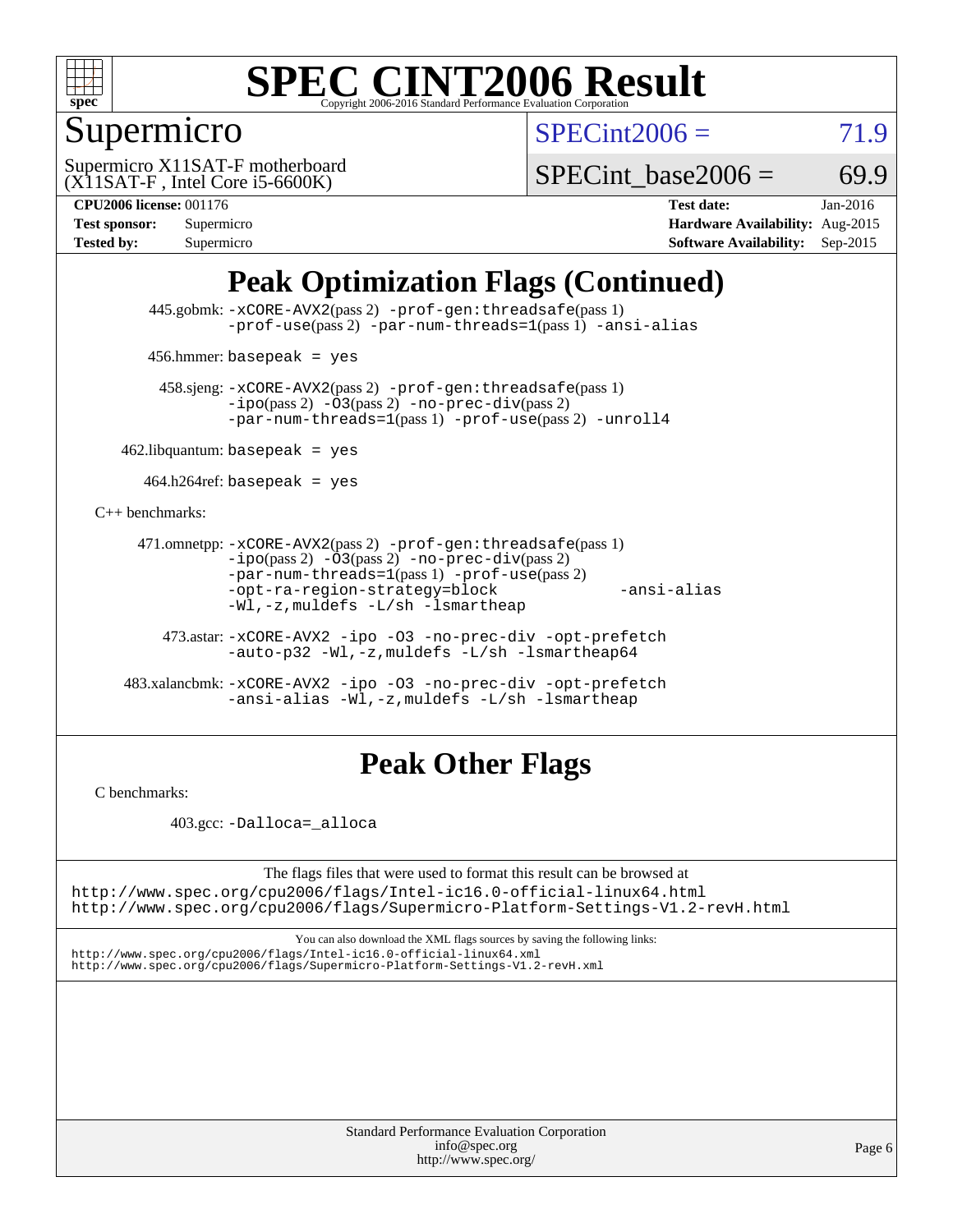

## Supermicro

 $SPECint2006 = 71.9$  $SPECint2006 = 71.9$ 

(X11SAT-F , Intel Core i5-6600K) Supermicro X11SAT-F motherboard

SPECint base2006 =  $69.9$ 

**[CPU2006 license:](http://www.spec.org/auto/cpu2006/Docs/result-fields.html#CPU2006license)** 001176 **[Test date:](http://www.spec.org/auto/cpu2006/Docs/result-fields.html#Testdate)** Jan-2016 **[Test sponsor:](http://www.spec.org/auto/cpu2006/Docs/result-fields.html#Testsponsor)** Supermicro **[Hardware Availability:](http://www.spec.org/auto/cpu2006/Docs/result-fields.html#HardwareAvailability)** Aug-2015 **[Tested by:](http://www.spec.org/auto/cpu2006/Docs/result-fields.html#Testedby)** Supermicro **Supermicro [Software Availability:](http://www.spec.org/auto/cpu2006/Docs/result-fields.html#SoftwareAvailability)** Sep-2015

## **[Peak Optimization Flags \(Continued\)](http://www.spec.org/auto/cpu2006/Docs/result-fields.html#PeakOptimizationFlags)**

 445.gobmk: [-xCORE-AVX2](http://www.spec.org/cpu2006/results/res2016q1/cpu2006-20160111-38644.flags.html#user_peakPASS2_CFLAGSPASS2_LDCFLAGS445_gobmk_f-xAVX2_5f5fc0cbe2c9f62c816d3e45806c70d7)(pass 2) [-prof-gen:threadsafe](http://www.spec.org/cpu2006/results/res2016q1/cpu2006-20160111-38644.flags.html#user_peakPASS1_CFLAGSPASS1_LDCFLAGS445_gobmk_prof_gen_21a26eb79f378b550acd7bec9fe4467a)(pass 1) [-prof-use](http://www.spec.org/cpu2006/results/res2016q1/cpu2006-20160111-38644.flags.html#user_peakPASS2_CFLAGSPASS2_LDCFLAGS445_gobmk_prof_use_bccf7792157ff70d64e32fe3e1250b55)(pass 2) [-par-num-threads=1](http://www.spec.org/cpu2006/results/res2016q1/cpu2006-20160111-38644.flags.html#user_peakPASS1_CFLAGSPASS1_LDCFLAGS445_gobmk_par_num_threads_786a6ff141b4e9e90432e998842df6c2)(pass 1) [-ansi-alias](http://www.spec.org/cpu2006/results/res2016q1/cpu2006-20160111-38644.flags.html#user_peakCOPTIMIZE445_gobmk_f-ansi-alias)

456.hmmer: basepeak = yes

 458.sjeng: [-xCORE-AVX2](http://www.spec.org/cpu2006/results/res2016q1/cpu2006-20160111-38644.flags.html#user_peakPASS2_CFLAGSPASS2_LDCFLAGS458_sjeng_f-xAVX2_5f5fc0cbe2c9f62c816d3e45806c70d7)(pass 2) [-prof-gen:threadsafe](http://www.spec.org/cpu2006/results/res2016q1/cpu2006-20160111-38644.flags.html#user_peakPASS1_CFLAGSPASS1_LDCFLAGS458_sjeng_prof_gen_21a26eb79f378b550acd7bec9fe4467a)(pass 1)  $-ipo(pass 2) -\overline{03(pass 2)}$  $-ipo(pass 2) -\overline{03(pass 2)}$  [-no-prec-div](http://www.spec.org/cpu2006/results/res2016q1/cpu2006-20160111-38644.flags.html#user_peakPASS2_CFLAGSPASS2_LDCFLAGS458_sjeng_f-no-prec-div)(pass 2) [-par-num-threads=1](http://www.spec.org/cpu2006/results/res2016q1/cpu2006-20160111-38644.flags.html#user_peakPASS1_CFLAGSPASS1_LDCFLAGS458_sjeng_par_num_threads_786a6ff141b4e9e90432e998842df6c2)(pass 1) [-prof-use](http://www.spec.org/cpu2006/results/res2016q1/cpu2006-20160111-38644.flags.html#user_peakPASS2_CFLAGSPASS2_LDCFLAGS458_sjeng_prof_use_bccf7792157ff70d64e32fe3e1250b55)(pass 2) [-unroll4](http://www.spec.org/cpu2006/results/res2016q1/cpu2006-20160111-38644.flags.html#user_peakCOPTIMIZE458_sjeng_f-unroll_4e5e4ed65b7fd20bdcd365bec371b81f)

 $462$ .libquantum: basepeak = yes

 $464.h264$ ref: basepeak = yes

[C++ benchmarks:](http://www.spec.org/auto/cpu2006/Docs/result-fields.html#CXXbenchmarks)

```
 471.omnetpp: -xCORE-AVX2(pass 2) -prof-gen:threadsafe(pass 1)
          -i\text{po}(pass 2) -03(pass 2) -no-prec-div(pass 2)-par-num-threads=1(pass 1) -prof-use(pass 2)
          -opt-ra-region-strategy=block -ansi-alias
          -Wl,-z,muldefs -L/sh -lsmartheap
```
 473.astar: [-xCORE-AVX2](http://www.spec.org/cpu2006/results/res2016q1/cpu2006-20160111-38644.flags.html#user_peakCXXOPTIMIZE473_astar_f-xAVX2_5f5fc0cbe2c9f62c816d3e45806c70d7) [-ipo](http://www.spec.org/cpu2006/results/res2016q1/cpu2006-20160111-38644.flags.html#user_peakCXXOPTIMIZE473_astar_f-ipo) [-O3](http://www.spec.org/cpu2006/results/res2016q1/cpu2006-20160111-38644.flags.html#user_peakCXXOPTIMIZE473_astar_f-O3) [-no-prec-div](http://www.spec.org/cpu2006/results/res2016q1/cpu2006-20160111-38644.flags.html#user_peakCXXOPTIMIZE473_astar_f-no-prec-div) [-opt-prefetch](http://www.spec.org/cpu2006/results/res2016q1/cpu2006-20160111-38644.flags.html#user_peakCXXOPTIMIZE473_astar_f-opt-prefetch) [-auto-p32](http://www.spec.org/cpu2006/results/res2016q1/cpu2006-20160111-38644.flags.html#user_peakCXXOPTIMIZE473_astar_f-auto-p32) [-Wl,-z,muldefs](http://www.spec.org/cpu2006/results/res2016q1/cpu2006-20160111-38644.flags.html#user_peakEXTRA_LDFLAGS473_astar_link_force_multiple1_74079c344b956b9658436fd1b6dd3a8a) [-L/sh -lsmartheap64](http://www.spec.org/cpu2006/results/res2016q1/cpu2006-20160111-38644.flags.html#user_peakEXTRA_LIBS473_astar_SmartHeap64_ed4ef857ce90951921efb0d91eb88472)

 483.xalancbmk: [-xCORE-AVX2](http://www.spec.org/cpu2006/results/res2016q1/cpu2006-20160111-38644.flags.html#user_peakCXXOPTIMIZE483_xalancbmk_f-xAVX2_5f5fc0cbe2c9f62c816d3e45806c70d7) [-ipo](http://www.spec.org/cpu2006/results/res2016q1/cpu2006-20160111-38644.flags.html#user_peakCXXOPTIMIZE483_xalancbmk_f-ipo) [-O3](http://www.spec.org/cpu2006/results/res2016q1/cpu2006-20160111-38644.flags.html#user_peakCXXOPTIMIZE483_xalancbmk_f-O3) [-no-prec-div](http://www.spec.org/cpu2006/results/res2016q1/cpu2006-20160111-38644.flags.html#user_peakCXXOPTIMIZE483_xalancbmk_f-no-prec-div) [-opt-prefetch](http://www.spec.org/cpu2006/results/res2016q1/cpu2006-20160111-38644.flags.html#user_peakCXXOPTIMIZE483_xalancbmk_f-opt-prefetch) [-ansi-alias](http://www.spec.org/cpu2006/results/res2016q1/cpu2006-20160111-38644.flags.html#user_peakCXXOPTIMIZE483_xalancbmk_f-ansi-alias) [-Wl,-z,muldefs](http://www.spec.org/cpu2006/results/res2016q1/cpu2006-20160111-38644.flags.html#user_peakEXTRA_LDFLAGS483_xalancbmk_link_force_multiple1_74079c344b956b9658436fd1b6dd3a8a) [-L/sh -lsmartheap](http://www.spec.org/cpu2006/results/res2016q1/cpu2006-20160111-38644.flags.html#user_peakEXTRA_LIBS483_xalancbmk_SmartHeap_32f6c82aa1ed9c52345d30cf6e4a0499)

## **[Peak Other Flags](http://www.spec.org/auto/cpu2006/Docs/result-fields.html#PeakOtherFlags)**

[C benchmarks](http://www.spec.org/auto/cpu2006/Docs/result-fields.html#Cbenchmarks):

403.gcc: [-Dalloca=\\_alloca](http://www.spec.org/cpu2006/results/res2016q1/cpu2006-20160111-38644.flags.html#b403.gcc_peakEXTRA_CFLAGS_Dalloca_be3056838c12de2578596ca5467af7f3)

The flags files that were used to format this result can be browsed at <http://www.spec.org/cpu2006/flags/Intel-ic16.0-official-linux64.html>

<http://www.spec.org/cpu2006/flags/Supermicro-Platform-Settings-V1.2-revH.html>

You can also download the XML flags sources by saving the following links: <http://www.spec.org/cpu2006/flags/Intel-ic16.0-official-linux64.xml> <http://www.spec.org/cpu2006/flags/Supermicro-Platform-Settings-V1.2-revH.xml>